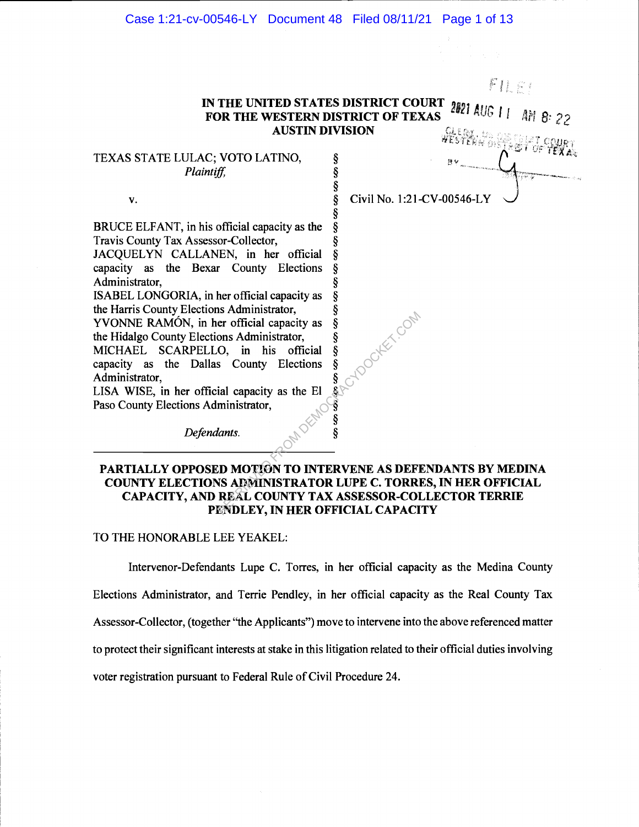#### Case 1:21-cv-00546-LY Document 48 Filed 08/11/21 Page 1 of 13

ş ş FILET

# IN THE UNITED STATES DISTRICT COURT 2021 AUG 1 1 AM 8: 22 FOR THE WESTERN DISTRICT OF TEXAS AUSTIN DIVISION

RECTOOCHET.COM

## TEXAS STATE LULAC; VOTO LATINO, Plaintiff,

v.  $\frac{\S}{\S}$  Civil No. 1:21-CV-00546-LY

BRUCE ELFANT, in his official capacity as the Travis County Tax Assessor-Collector,

JACQUELYN CALLANEN, in her official § capacity as the Bexar County Elections Administrator,

ISABEL LONGORIA, in her official capacity as the Harris County Elections Administrator,

YVONNE RAMÓN, in her official capacity as the Hidalgo County Elections Administrator,

MICHAEL SCARPELLO, in his official capacity as the Dallas County Elections Administrator,

LISA WISE, in her official capacity as the El Paso County Elections Administrator,

Defendants.

# PARTIALLY OPPOSED MOTION TO INTERVENE AS DEFENDANTS BY MEDINA COUNTY ELECTIONS ADMINISTRATOR LUPE C. TORRES, IN HER OFFICIAL CAPACITY, AND REAL COUNTY TAX ASSESSOR-COLLECTOR TERRIE PENDLEY, IN HER OFFICIAL CAPACITY

#### TO THE HONORABLE LEE YEAKEL:

Intervenor-Defendants Lupe C. Torres, in her official capacity as the Medina County

Elections Administrator, and Terrie Pendley, in her official capacity as the Real County Tax

Assessor-Collector, (together "the Applicants") move to intervene into the above referenced matter

to protect their significant interests at stake in this litigation related to their official duties involving

voter registration pursuant to Federal Rule of Civil Procedure 24.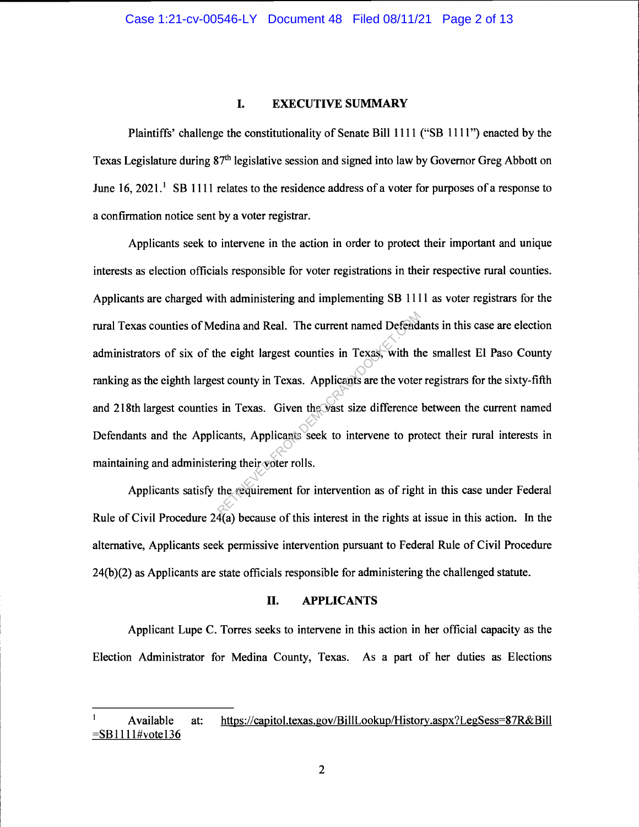## I. EXECUTIVE SUMMARY

Plaintiffs' challenge the constitutionality of Senate Bill 1111 ("SB 1111") enacted by the Texas Legislature during 87<sup>th</sup> legislative session and signed into law by Governor Greg Abbott on June  $16$ ,  $2021$ .<sup>1</sup> SB 1111 relates to the residence address of a voter for purposes of a response to a confirmation notice sent by a voter registrar.

Applicants seek to intervene in the action in order to protect their important and unique interests as election officials responsible for voter registrations in their respective rural counties. Applicants are charged with administering and implementing SB 1111 as voter registrars for the rural Texas counties of Medina and Real. The current named Defendants in this case are election administrators of six of the eight largest counties in Texas, with the smallest El Paso County ranking as the eighth largest county in Texas. Applicants are the voter registrars for the sixty-fifth and 218th largest counties in Texas. Given the vast size difference between the current named Defendants and the Applicants, Applicants seek to intervene to protect their rural interests in maintaining and administering their voter rolls. redina and Real. The current named Defends<br>the eight largest counties in Texas, with the st county in Texas. Applicants are the voter<br>in Texas. Given the vast size difference<br>icants, Applicants seek to intervene to proving

Applicants satisfy the requirement for intervention as of right in this case under Federal Rule of Civil Procedure 24(a) because of this interest in the rights at issue in this action. In the alternative, Applicants seek permissive intervention pursuant to Federal Rule of Civil Procedure 24(b)(2) as Applicants are state officials responsible for administering the challenged statute.

## II. APPLICANTS

Applicant Lupe C. Torres seeks to intervene in this action in her official capacity as the Election Administrator for Medina County, Texas. As a part of her duties as Elections

Available at: https://capitol.texas.gov/BillLookup/History.aspx?LegSess=87R&Bill  $=$ SB1111#votel36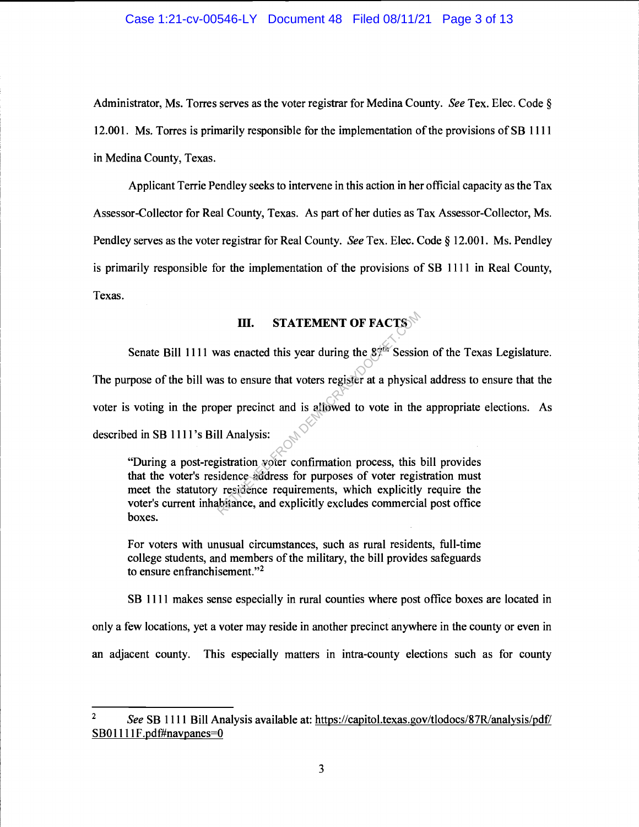Administrator, Ms. Torres serves as the voter registrar for Medina County. See Tex. Elec. Code § 12.001. Ms. Torres is primarily responsible for the implementation of the provisions of SB 1111 in Medina County, Texas.

Applicant Terrie Pendley seeks to intervene in this action in her official capacity as the Tax Assessor-Collector for Real County, Texas. As part of her duties as Tax Assessor-Collector, Ms. Pendley serves as the voter registrar for Real County. See Tex. Elec. Code § 12.001. Ms. Pendley is primarily responsible for the implementation of the provisions of SB 1111 in Real County, Texas.

# III. STATEMENT OF FACTS

Senate Bill 1111 was enacted this year during the  $8\%$  Session of the Texas Legislature. The purpose of the bill was to ensure that voters register at a physical address to ensure that the voter is voting in the proper precinct and is allowed to vote in the appropriate elections. As described in SB 1111's Bill Analysis: III. STATEMENT OF FACTS<br>was enacted this year during the 8<sup>4th</sup> Sessic<br>ns to ensure that voters register at a physica<br>per precinct and is allowed to vote in the<br>ll Analysis:<br>istration yoter confirmation process, this liden

"During a post-registration voter confirmation process, this bill provides that the voter's residence address for purposes of voter registration must meet the statutory residence requirements, which explicitly require the voter's current inhabitance, and explicitly excludes commercial post office boxes.

For voters with unusual circumstances, such as rural residents, full-time college students, and members of the military, the bill provides safeguards to ensure enfranchisement."2

SB 1111 makes sense especially in rural counties where post office boxes are located in only a few locations, yet a voter may reside in another precinct anywhere in the county or even in an adjacent county. This especially matters in intra-county elections such as for county

<sup>&</sup>lt;sup>2</sup> See SB 1111 Bill Analysis available at: https://capitol.texas.gov/tlodocs/87R/analysis/pdf/ SB01111F.pdf#navpanes=0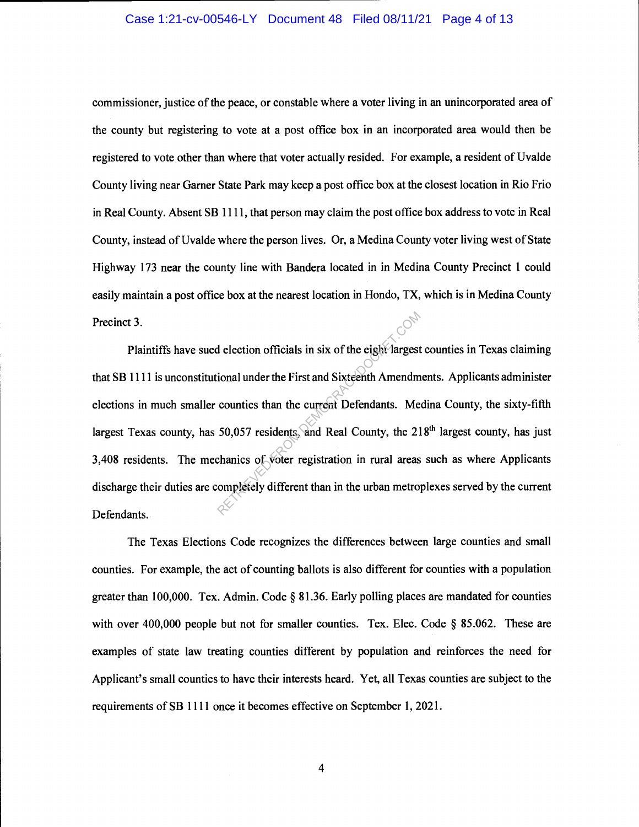#### Case 1:21-cv-00546-LY Document 48 Filed 08/11/21 Page 4 of 13

commissioner, justice of the peace, or constable where a voter living in an unincorporated area of the county but registering to vote at a post office box in an incorporated area would then be registered to vote other than where that voter actually resided. For example, a resident of Uvalde County living near Garner State Park may keep a post office box at the closest location in Rio Frio in Real County. Absent SB 1111, that person may claim the post office box address to vote in Real County, instead of Uvalde where the person lives. Or, a Medina County voter living west of State Highway 173 near the county line with Bandera located in in Medina County Precinct 1 could easily maintain a post office box at the nearest location in Hondo, TX, which is in Medina County Precinct 3.

Plaintiffs have sued election officials in six of the eight largest counties in Texas claiming that SB 1111 is unconstitutional under the First and Sixteenth Amendments. Applicants administer elections in much smaller counties than the current Defendants. Medina County, the sixty-fifth largest Texas county, has 50,057 residents, and Real County, the 218<sup>th</sup> largest county, has just 3,408 residents. The mechanics of voter registration in rural areas such as where Applicants discharge their duties are completely different than in the urban metroplexes served by the current Defendants. delection officials in six of the eight largest<br>ional under the First and Sixteenth Amendm<br>counties than the current Defendants. Me<br>50,057 residents, and Real County, the 21<br>chanics of voter registration in rural areas<br>omp

The Texas Elections Code recognizes the differences between large counties and small counties. For example, the act of counting ballots is also different for counties with a population greater than 100,000. Tex. Admin. Code § 81.36. Early polling places are mandated for counties with over 400,000 people but not for smaller counties. Tex. Elec. Code  $\S$  85.062. These are examples of state law treating counties different by population and reinforces the need for Applicant's small counties to have their interests heard. Yet, all Texas counties are subject to the requirements of SB 1111 once it becomes effective on September 1, 2021.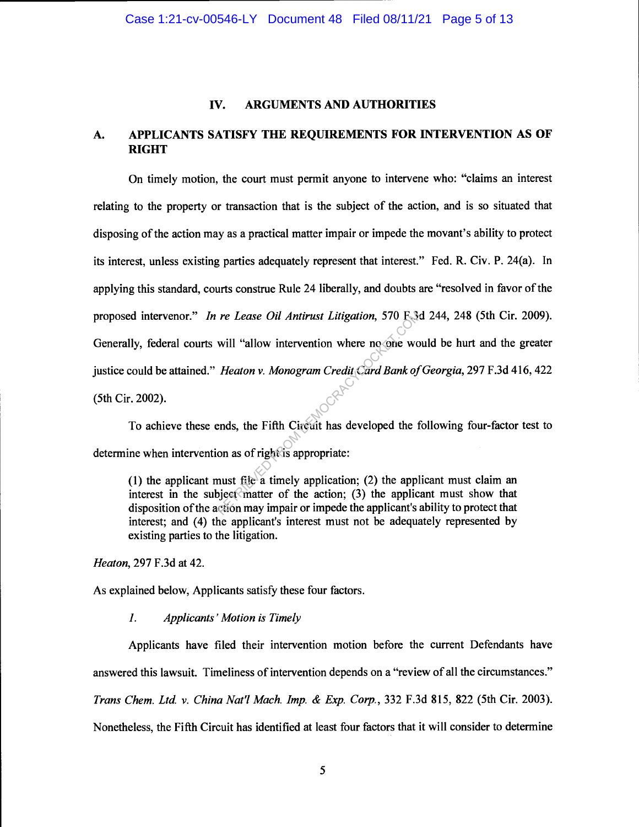#### IV. ARGUMENTS AND AUTHORITIES

# A. APPLICANTS SATISFY THE REQUIREMENTS FOR INTERVENTION AS OF RIGHT

On timely motion, the court must permit anyone to intervene who: "claims an interest relating to the property or transaction that is the subject of the action, and is so situated that disposing of the action may as a practical matter impair or impede the movant's ability to protect its interest, unless existing parties adequately represent that interest." Fed. R. Civ. P. 24(a). In applying this standard, courts construe Rule 24 liberally, and doubts are "resolved in favor of the proposed intervenor." In re Lease Oil Antirust Litigation, 570 F.3d 244, 248 (5th Cir. 2009). Generally, federal courts will "allow intervention where no one would be hurt and the greater justice could be attained." Heaton v. Monogram Credit Card Bank of Georgia, 297 F.3d 416, 422 (5th Cir. 2002). re Lease Oil Antirust Litigation, 570 F.3s<br>
will "allow intervention where no one wo<br>
Heaton v. Monogram Credit Card Bank of<br>
ends, the Fifth Circuit has developed the f<br>
on as of right is appropriate:<br>
nust file a timely

To achieve these ends, the Fifth Circuit has developed the following four-factor test to determine when intervention as of right is appropriate:

(1) the applicant must file a timely application; (2) the applicant must claim an interest in the subject matter of the action; (3) the applicant must show that disposition of the action may impair or impede the applicant's ability to protect that interest; and (4) the applicant's interest must not be adequately represented by existing parties to the litigation.

Heaton, 297 F.3d at 42.

As explained below, Applicants satisfy these four factors.

#### 1. Applicants ' Motion is Timely

Applicants have filed their intervention motion before the current Defendants have answered this lawsuit. Timeliness of intervention depends on a "review of all the circumstances." Trans Chem. Ltd. v. China Nat'l Mach. Imp. & Exp. Corp., 332 F.3d 815, 822 (5th Cir. 2003). Nonetheless, the Fifth Circuit has identified at least four factors that it will consider to determine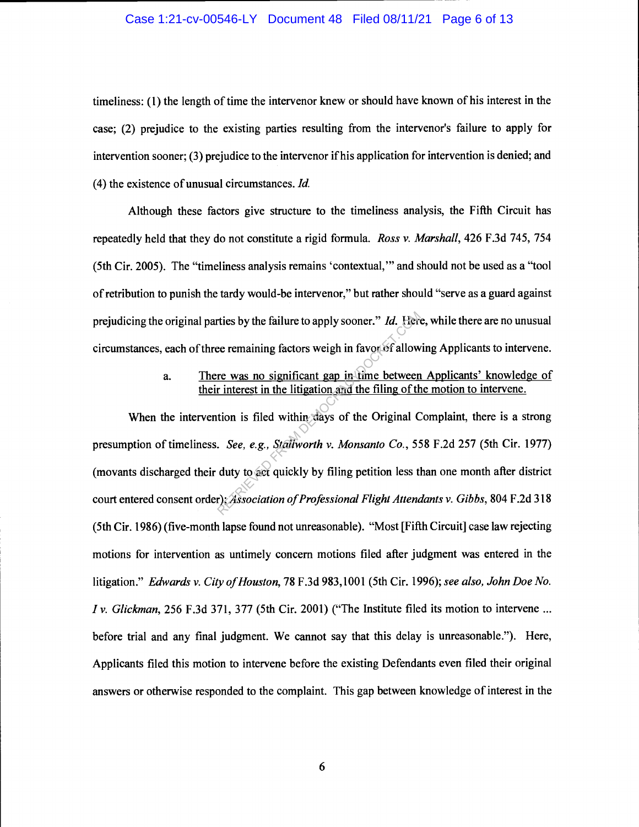#### Case 1:21-cv-00546-LY Document 48 Filed 08/11/21 Page 6 of 13

timeliness: (1) the length of time the intervenor knew or should have known of his interest in the case; (2) prejudice to the existing parties resulting from the intervenor's failure to apply for intervention sooner; (3) prejudice to the intervenor if his application for intervention is denied; and (4) the existence of unusual circumstances. Id.

Although these factors give structure to the timeliness analysis, the Fifth Circuit has repeatedly held that they do not constitute a rigid formula. Ross v. Marshall, 426 F.3d 745, 754 (5th Cir. 2005). The "timeliness analysis remains 'contextual," and should not be used as a "tool of retribution to punish the tardy would-be intervenor," but rather should "serve as a guard against prejudicing the original parties by the failure to apply sooner." Id. Here, while there are no unusual circumstances, each of three remaining factors weigh in favor of allowing Applicants to intervene.

# a. There was no significant gap in time between Applicants' knowledge of their interest in the litigation and the filing of the motion to intervene.

When the intervention is filed within days of the Original Complaint, there is a strong presumption of timeliness. See, e.g., Stallworth v. Monsanto Co., 558 F.2d 257 (5th Cir. 1977) (movants discharged their duty to act quickly by filing petition less than one month after district court entered consent order); Association of Professional Flight Attendants v. Gibbs, 804 F.2d 318 (5th Cir. 1986) (five-month lapse found not unreasonable). "Most [Fifth Circuit] case law rejecting motions for intervention as untimely concern motions filed after judgment was entered in the litigation." Edwards v. City of Houston, 78 F.3d 983,1001 (5th Cir. 1996); see also, John Doe No. Iv. Glickman, 256 F.3d 371, 377 (5th Cir. 2001) ("The Institute filed its motion to intervene ... before trial and any final judgment. We cannot say that this delay is unreasonable."). Here, Applicants filed this motion to intervene before the existing Defendants even filed their original answers or otherwise responded to the complaint. This gap between knowledge of interest in the re is by the failure to apply sooner." *Id.* Here<br>
ee remaining factors weigh in favor of allow<br>
re was no significant gap in time between<br>
r interest in the litigation and the filing of the<br>
tion is filed within days of t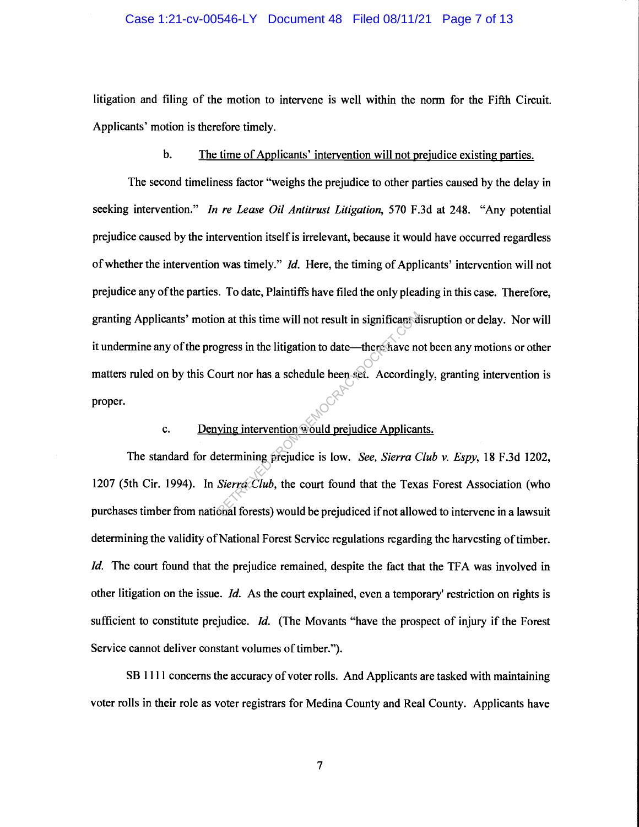#### Case 1:21-cv-00546-LY Document 48 Filed 08/11/21 Page 7 of 13

litigation and filing of the motion to intervene is well within the norm for the Fifth Circuit. Applicants' motion is therefore timely.

## b. The time of Applicants' intervention will not prejudice existing parties.

The second timeliness factor "weighs the prejudice to other parties caused by the delay in seeking intervention." In re Lease Oil Antitrust Litigation, 570 F.3d at 248. "Any potential prejudice caused by the intervention itself is irrelevant, because it would have occurred regardless of whether the intervention was timely." Id. Here, the timing of Applicants' intervention will not prejudice any of the parties. To date, Plaintiffs have filed the only pleading in this case. Therefore, granting Applicants' motion at this time will not result in significant disruption or delay. Nor will it undermine any of the progress in the litigation to date—there have not been any motions or other matters ruled on by this Court nor has a schedule been set. Accordingly, granting intervention is proper. on at this time will not result in significant of<br>gress in the litigation to date—there have no<br>burt nor has a schedule been set. According<br>ying intervention would prejudice Applican<br>etermining prejudice is low. *See, Sier* 

# c. Denying intervention would prejudice Applicants.

The standard for determining prejudice is low. See, Sierra Club v. Espy, 18 F.3d 1202, 1207 (5th Cir. 1994). In Sierra Club, the court found that the Texas Forest Association (who purchases timber from national forests) would be prejudiced if not allowed to intervene in a lawsuit determining the validity of National Forest Service regulations regarding the harvesting of timber. Id. The court found that the prejudice remained, despite the fact that the TFA was involved in other litigation on the issue. Id. As the court explained, even a temporary' restriction on rights is sufficient to constitute prejudice.  $Id$ . (The Movants "have the prospect of injury if the Forest Service cannot deliver constant volumes of timber.").

SB 1111 concerns the accuracy of voter rolls. And Applicants are tasked with maintaining voter rolls in their role as voter registrars for Medina County and Real County. Applicants have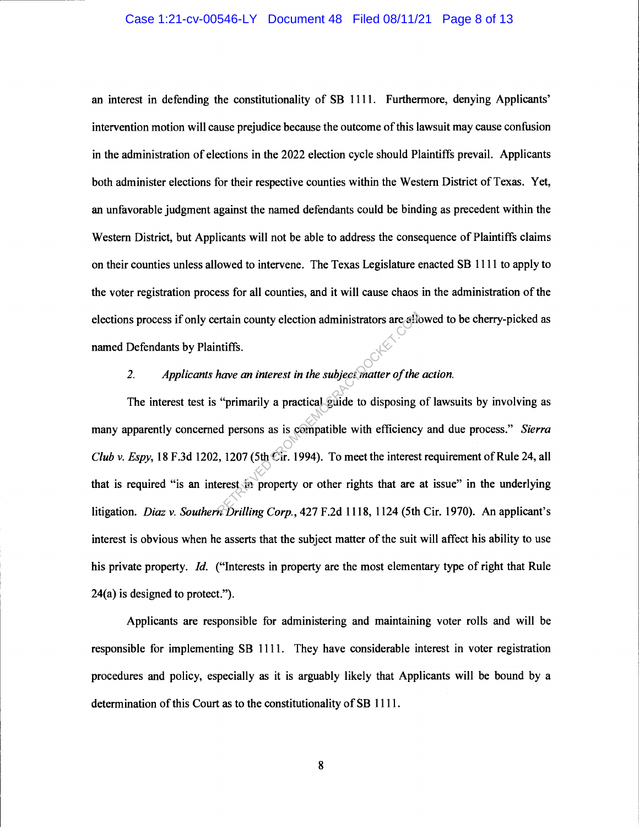## Case 1:21-cv-00546-LY Document 48 Filed 08/11/21 Page 8 of 13

an interest in defending the constitutionality of SB 1111. Furthermore, denying Applicants' intervention motion will cause prejudice because the outcome of this lawsuit may cause confusion in the administration of elections in the 2022 election cycle should Plaintiffs prevail. Applicants both administer elections for their respective counties within the Western District of Texas. Yet, an unfavorable judgment against the named defendants could be binding as precedent within the Western District, but Applicants will not be able to address the consequence of Plaintiffs claims on their counties unless allowed to intervene. The Texas Legislature enacted SB 1111 to apply to the voter registration process for all counties, and it will cause chaos in the administration of the elections process if only certain county election administrators are allowed to be cherry-picked as named Defendants by Plaintiffs.

### 2. Applicants have an interest in the subject matter of the action.

The interest test is "primarily a practical guide to disposing of lawsuits by involving as many apparently concerned persons as is compatible with efficiency and due process." Sierra Club v. Espy, 18 F.3d 1202, 1207 (5th  $\overline{\mathbb{C}}$ ir. 1994). To meet the interest requirement of Rule 24, all that is required "is an interest in property or other rights that are at issue" in the underlying litigation. *Diaz v. Southern Drilling Corp.*, 427 F.2d 1118, 1124 (5th Cir. 1970). An applicant's interest is obvious when he asserts that the subject matter of the suit will affect his ability to use his private property. Id. ("Interests in property are the most elementary type of right that Rule 24(a) is designed to protect."). extrain county election administrators are ally<br>
multiffs.<br>
have an interest in the subject matter of the<br>
"primarily a practical guide to disposing<br>
d persons as is compatible with efficiency<br>
., 1207 (5th Cir. 1994). To

Applicants are responsible for administering and maintaining voter rolls and will be responsible for implementing SB 1111. They have considerable interest in voter registration procedures and policy, especially as it is arguably likely that Applicants will be bound by a determination of this Court as to the constitutionality of SB 1111.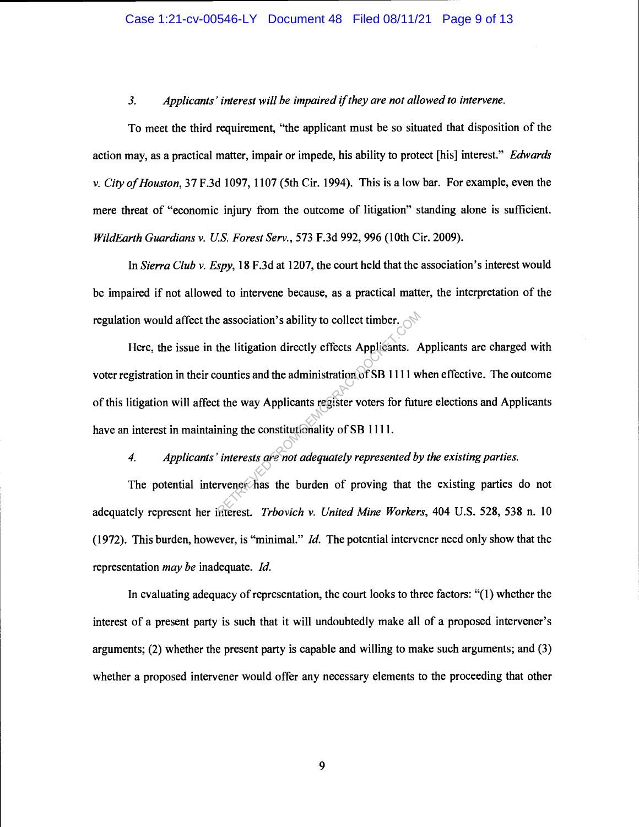#### 3. Applicants' interest will be impaired if they are not allowed to intervene.

To meet the third requirement, "the applicant must be so situated that disposition of the action may, as a practical matter, impair or impede, his ability to protect [his] interest." *Edwards* v. City of Houston, 37 F.3d 1097, 1107 (5th Cir. 1994). This is a low bar. For example, even the mere threat of "economic injury from the outcome of litigation" standing alone is sufficient. WildEarth Guardians v. U.S. Forest Serv., 573 F.3d 992, 996 (10th Cir. 2009).

In Sierra Club v. Espy, 18 F.3d at 1207, the court held that the association's interest would be impaired if not allowed to intervene because, as a practical matter, the interpretation of the regulation would affect the association's ability to collect timber.

Here, the issue in the litigation directly effects Applicants. Applicants are charged with voter registration in their counties and the administration of SB 1111 when effective. The outcome of this litigation will affect the way Applicants register voters for future elections and Applicants have an interest in maintaining the constitutionality of SB 1111. Example association's ability to collect timber.<br>
the litigation directly effects Applicants. A<br>
bounties and the administration of SB 1111 w<br>
the way Applicants register voters for future<br>
ining the constitutionality of S

4. Applicants' interests are not adequately represented by the existing parties.

The potential intervener has the burden of proving that the existing parties do not adequately represent her interest. Trbovich v. United Mine Workers, 404 U.S. 528, 538 n. 10 (1972). This burden, however, is "minimal." *Id.* The potential intervener need only show that the representation may be inadequate. Id.

In evaluating adequacy of representation, the court looks to three factors: "(1) whether the interest of a present party is such that it will undoubtedly make all of a proposed intervener's arguments; (2) whether the present party is capable and willing to make such arguments; and (3) whether a proposed intervener would offer any necessary elements to the proceeding that other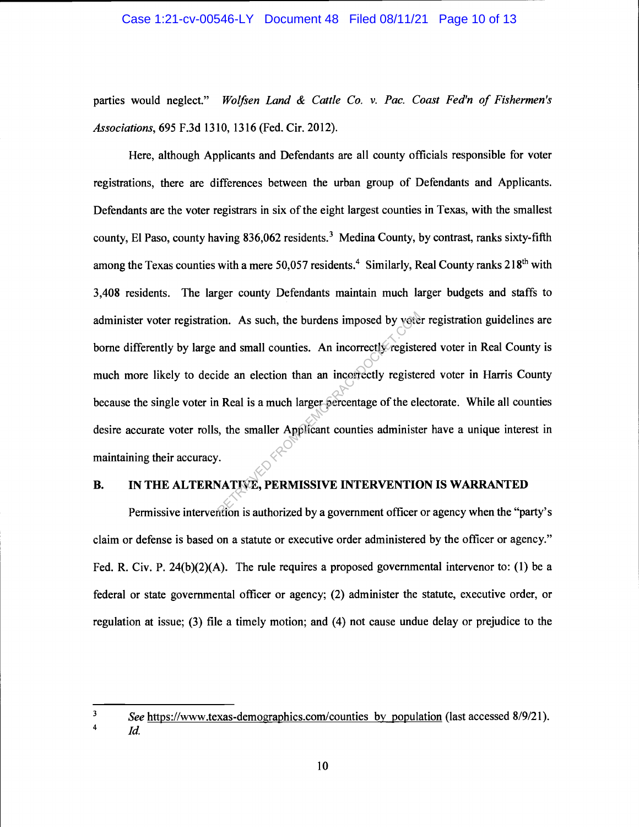#### Case 1:21-cv-00546-LY Document 48 Filed 08/11/21 Page 10 of 13

parties would neglect." Wolfsen Land & Cattle Co. v. Pac. Coast Fed'n of Fishermen's Associations, 695 F.3d 1310, 1316 (Fed. Cir. 2012).

Here, although Applicants and Defendants are all county officials responsible for voter registrations, there are differences between the urban group of Defendants and Applicants. Defendants are the voter registrars in six of the eight largest counties in Texas, with the smallest county, El Paso, county having  $836,062$  residents.<sup>3</sup> Medina County, by contrast, ranks sixty-fifth among the Texas counties with a mere 50,057 residents.<sup>4</sup> Similarly, Real County ranks 218<sup>th</sup> with 3,408 residents. The larger county Defendants maintain much larger budgets and staffs to administer voter registration. As such, the burdens imposed by voter registration guidelines are borne differently by large and small counties. An incorrectly registered voter in Real County is much more likely to decide an election than an incorrectly registered voter in Harris County because the single voter in Real is a much larger percentage of the electorate. While all counties desire accurate voter rolls, the smaller Applicant counties administer have a unique interest in maintaining their accuracy. on. As such, the burdens imposed by veteral<br>and small counties. An incorrectly register<br>ide an election than an incorrectly register<br>is a much larger percentage of the election<br>is a much larger percentage of the election<br>i

# B. IN THE ALTERNATIVE, PERMISSIVE INTERVENTION IS WARRANTED

Permissive intervention is authorized by a government officer or agency when the "party's claim or defense is based on a statute or executive order administered by the officer or agency." Fed. R. Civ. P. 24(b)(2)(A). The rule requires a proposed governmental intervenor to: (1) be a federal or state governmental officer or agency; (2) administer the statute, executive order, or regulation at issue; (3) file a timely motion; and (4) not cause undue delay or prejudice to the

 $\frac{4}{1}$  Id.

 $\overline{\mathbf{3}}$ See https://www.texas-demographics.com/counties by population (last accessed 8/9/21).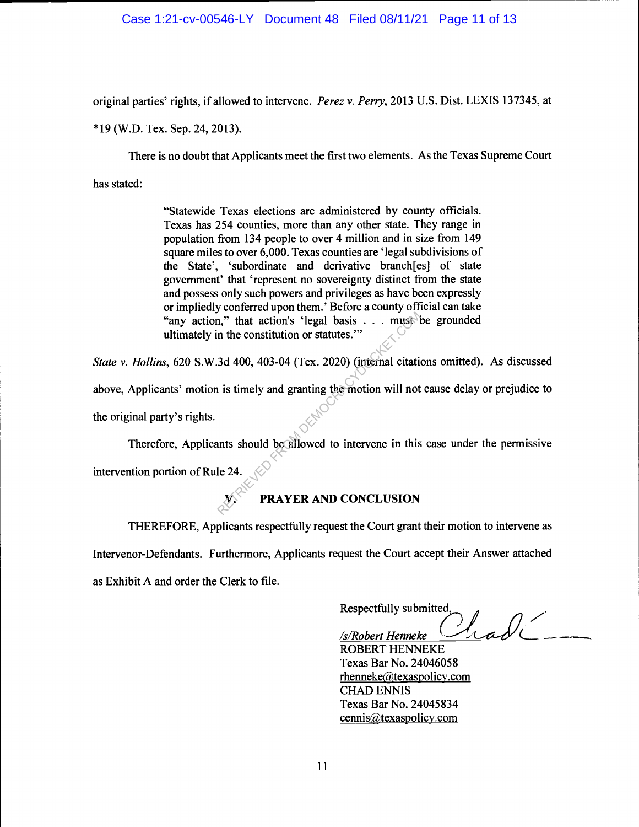#### Case 1:21-cv-00546-LY Document 48 Filed 08/11/21 Page 11 of 13

original parties' rights, if allowed to intervene. Perez v. Perry, 2013 U.S. Dist. LEXIS 137345, at

\*19 (W.D. Tex. Sep. 24, 2013).

There is no doubt that Applicants meet the first two elements. As the Texas Supreme Court

has stated:

"Statewide Texas elections are administered by county officials. Texas has 254 counties, more than any other state. They range in population from 134 people to over 4 million and in size from 149 square miles to over 6,000. Texas counties are 'legal subdivisions of the State', 'subordinate and derivative branch[es] of state government' that 'represent no sovereignty distinct from the state and possess only such powers and privileges as have been expressly or impliedly conferred upon them.' Before a county official can take "any action," that action's 'legal basis . . . must be grounded ultimately in the constitution or statutes."

State v. Hollins, 620 S.W.3d 400, 403-04 (Tex. 2020) (internal citations omitted). As discussed above, Applicants' motion is timely and granting the motion will not cause delay or prejudice to the original party's rights. A  $\mu$ ," that action's 'legal basis . . . must<br>
in the constitution or statutes."<br>
3d 400, 403-04 (Tex. 2020) (internal citation<br>
is timely and granting the motion will not<br>
ints should be allowed to intervene in this<br>
le

Therefore, Applicants should be allowed to intervene in this case under the permissive intervention portion of Rule 24.

# PRAYER AND CONCLUSION

THEREFORE, Applicants respectfully request the Court grant their motion to intervene as Intervenor-Defendants. Furthermore, Applicants request the Court accept their Answer attached as Exhibit A and order the Clerk to file.

Respectfully submitted,

 $\mathcal{C}_{\mathcal{A}}$ 

ROBERT HENNEKE Texas Bar No. 24046058  $rhenneke@text{exaspolicy.com}$ CHAD ENNIS Texas Bar No. 24045834 cennis@texaspolicy.com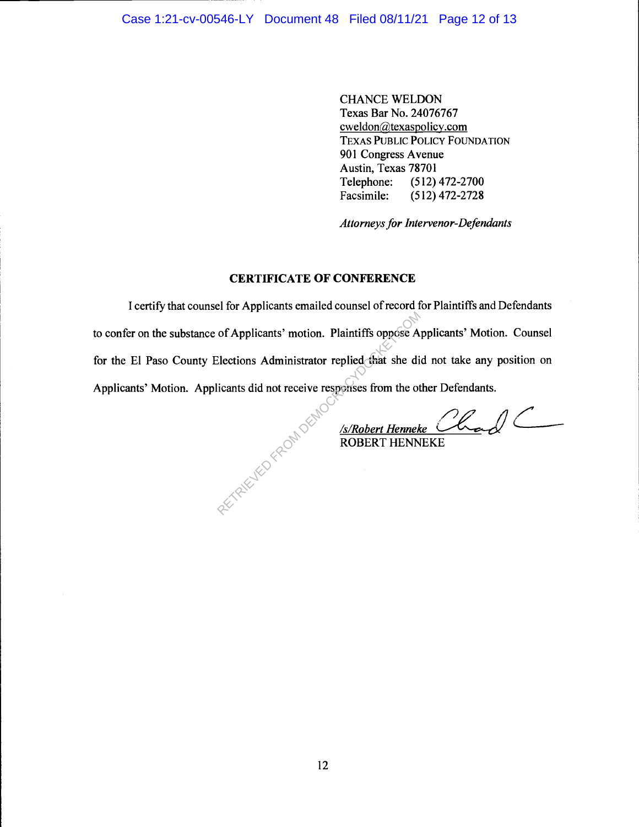CHANCE WELDON Texas Bar No. 24076767 cweldon@texaspolicy.com TEXAS PUBLIC POLICY FOUNDATION 901 Congress Avenue Austin, Texas 78701 Telephone: (512) 472-2700 Facsimile: (512) 472-2728

Attorneys for Intervenor-Defendants

## CERTIFICATE OF CONFERENCE

I certify that counsel for Applicants emailed counsel of record for Plaintiffs and Defendants to confer on the substance of Applicants' motion. Plaintiffs oppose Applicants' Motion. Counsel for the El Paso County Elections Administrator replied that she did not take any position on Applicants' Motion. Applicants did not receive responses from the other Defendants. RETRIEVED FROM DEMOC

<u>/s/Robert Henneke</u> (had

ROBERT HENNEKE